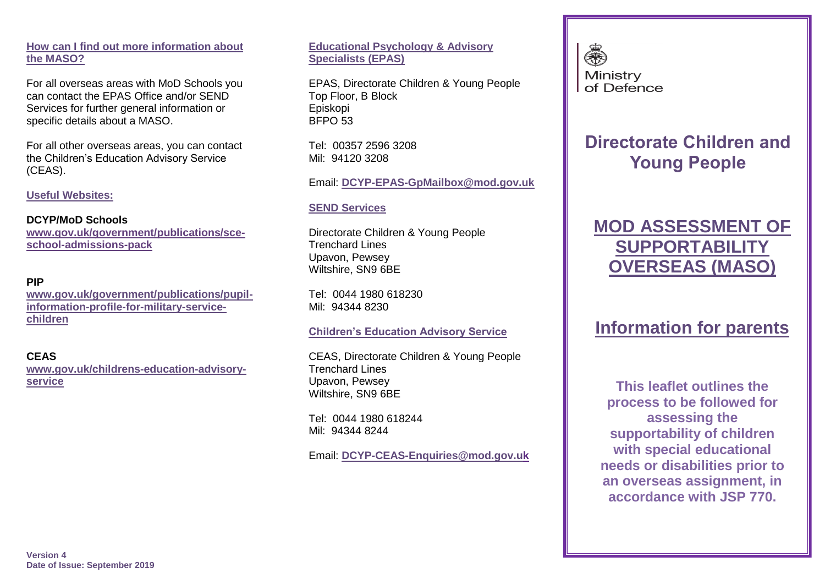### **How can I find out more information about the MASO?**

For all overseas areas with MoD Schools you can contact the EPAS Office and/or SEND Services for further general information or specific details about a MASO.

For all other overseas areas, you can contact the Children's Education Advisory Service (CEAS).

**Useful Websites:** 

#### **DCYP/MoD Schools**

**[www.gov.uk/government/publications/sce](http://www.gov.uk/government/publications/sce-school-admissions-pack)[school-admissions-pack](http://www.gov.uk/government/publications/sce-school-admissions-pack)**

### **PIP**

**[www.gov.uk/government/publications/pupil](http://www.gov.uk/government/publications/pupil-information-profile-for-military-service-children)[information-profile-for-military-service](http://www.gov.uk/government/publications/pupil-information-profile-for-military-service-children)[children](http://www.gov.uk/government/publications/pupil-information-profile-for-military-service-children)**

# **CEAS**

**[www.gov.uk/childrens-education-advisory](http://www.gov.uk/childrens-education-advisory-service)[service](http://www.gov.uk/childrens-education-advisory-service)**

**Educational Psychology & Advisory Specialists (EPAS)**

EPAS, Directorate Children & Young People Top Floor, B Block Episkopi BFPO 53

Tel: 00357 2596 3208 Mil: 94120 3208

Email: **[DCYP-EPAS-GpMailbox@mod.gov.uk](mailto:DCYP-EPAS-GpMailbox@mod.gov.uk)**

# **SEND Services**

Directorate Children & Young People Trenchard Lines Upavon, Pewsey Wiltshire, SN9 6BE

Tel: 0044 1980 618230 Mil: 94344 8230

# **Children's Education Advisory Service**

CEAS, Directorate Children & Young People Trenchard Lines Upavon, Pewsey Wiltshire, SN9 6BE

Tel: 0044 1980 618244 Mil: 94344 8244

Email: **[DCYP-CEAS-Enquiries@mod.gov.uk](mailto:DCYP-CEAS-Enquiries@mod.gov.uk)**



# **Directorate Children and Young People**

# **MOD ASSESSMENT OF SUPPORTABILITY OVERSEAS (MASO)**

# **Information for parents**

**This leaflet outlines the process to be followed for assessing the supportability of children with special educational needs or disabilities prior to an overseas assignment, in accordance with JSP 770.**